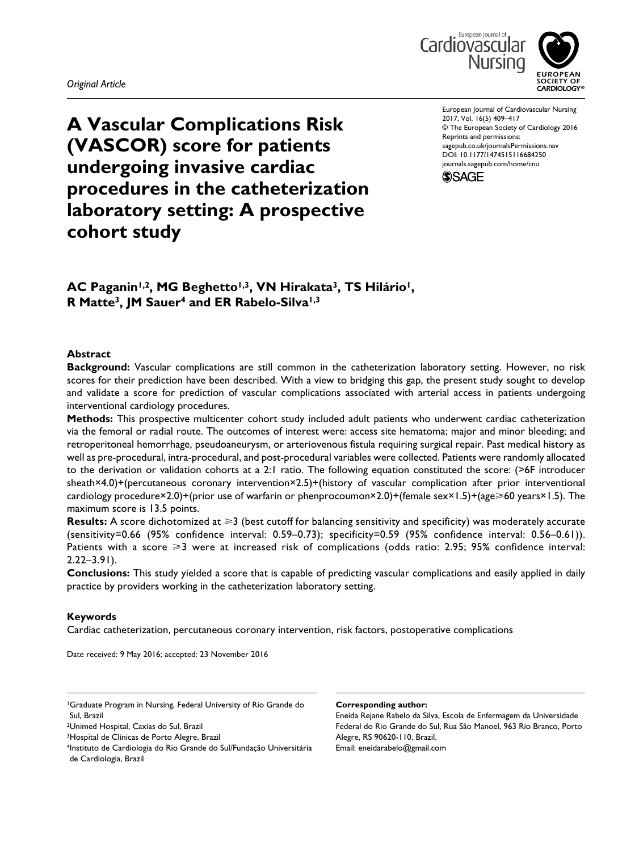

**A Vascular Complications Risk (VASCOR) score for patients undergoing invasive cardiac procedures in the catheterization laboratory setting: A prospective cohort study**

DOI: 10.1177/1474515116684250 European Journal of Cardiovascular Nursing 2017, Vol. 16(5) 409–417 © The European Society of Cardiology 2016 Reprints and permissions: [sagepub.co.uk/journalsPermissions.nav](https://uk.sagepub.com/en-gb/journals-permissions) [journals.sagepub.com/home/cnu](https://journals.sagepub.com/home/cnu)



AC Paganin<sup>1,2</sup>, MG Beghetto<sup>1,3</sup>, VN Hirakata<sup>3</sup>, TS Hilário<sup>1</sup>, **R Matte3, JM Sauer4 and ER Rabelo-Silva1,3**

# **Abstract**

**Background:** Vascular complications are still common in the catheterization laboratory setting. However, no risk scores for their prediction have been described. With a view to bridging this gap, the present study sought to develop and validate a score for prediction of vascular complications associated with arterial access in patients undergoing interventional cardiology procedures.

**Methods:** This prospective multicenter cohort study included adult patients who underwent cardiac catheterization via the femoral or radial route. The outcomes of interest were: access site hematoma; major and minor bleeding; and retroperitoneal hemorrhage, pseudoaneurysm, or arteriovenous fistula requiring surgical repair. Past medical history as well as pre-procedural, intra-procedural, and post-procedural variables were collected. Patients were randomly allocated to the derivation or validation cohorts at a 2:1 ratio. The following equation constituted the score: (>6F introducer sheath×4.0)+(percutaneous coronary intervention×2.5)+(history of vascular complication after prior interventional cardiology procedure×2.0)+(prior use of warfarin or phenprocoumon×2.0)+(female sex×1.5)+(age≥60 years×1.5). The maximum score is 13.5 points.

**Results:** A score dichotomized at  $\geq 3$  (best cutoff for balancing sensitivity and specificity) was moderately accurate (sensitivity=0.66 (95% confidence interval: 0.59–0.73); specificity=0.59 (95% confidence interval: 0.56–0.61)). Patients with a score  $\geq 3$  were at increased risk of complications (odds ratio: 2.95; 95% confidence interval:  $2.22 - 3.91$ ).

**Conclusions:** This study yielded a score that is capable of predicting vascular complications and easily applied in daily practice by providers working in the catheterization laboratory setting.

# **Keywords**

Cardiac catheterization, percutaneous coronary intervention, risk factors, postoperative complications

Date received: 9 May 2016; accepted: 23 November 2016

1Graduate Program in Nursing, Federal University of Rio Grande do Sul, Brazil

3Hospital de Clínicas de Porto Alegre, Brazil

#### **Corresponding author:**

<sup>2</sup>Unimed Hospital, Caxias do Sul, Brazil

<sup>4</sup>Instituto de Cardiologia do Rio Grande do Sul/Fundação Universitária de Cardiologia, Brazil

Eneida Rejane Rabelo da Silva, Escola de Enfermagem da Universidade Federal do Rio Grande do Sul, Rua São Manoel, 963 Rio Branco, Porto Alegre, RS 90620-110, Brazil. Email: [eneidarabelo@gmail.com](mailto:eneidarabelo@gmail.com)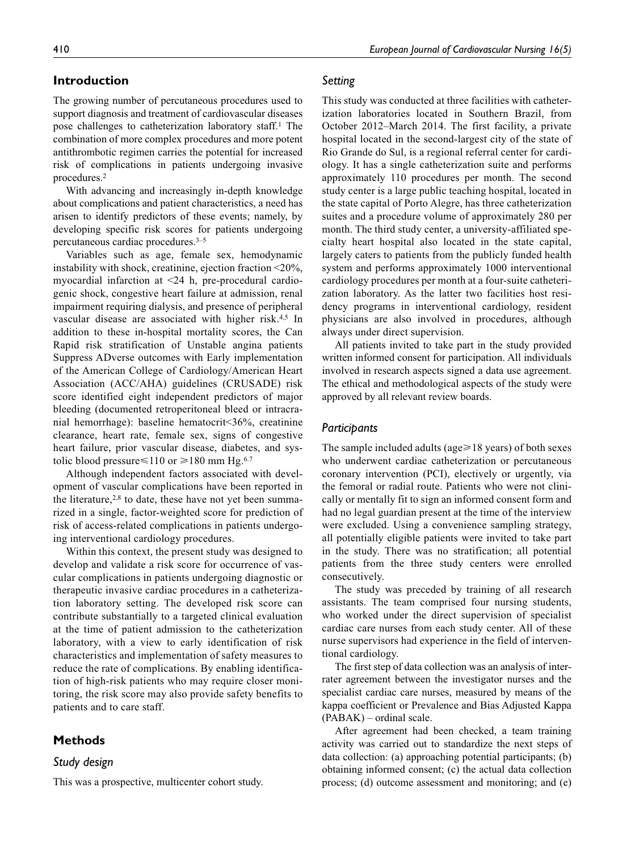## **Introduction**

The growing number of percutaneous procedures used to support diagnosis and treatment of cardiovascular diseases pose challenges to catheterization laboratory staff.1 The combination of more complex procedures and more potent antithrombotic regimen carries the potential for increased risk of complications in patients undergoing invasive procedures.2

With advancing and increasingly in-depth knowledge about complications and patient characteristics, a need has arisen to identify predictors of these events; namely, by developing specific risk scores for patients undergoing percutaneous cardiac procedures.3–5

Variables such as age, female sex, hemodynamic instability with shock, creatinine, ejection fraction  $\leq 20\%$ , myocardial infarction at <24 h, pre-procedural cardiogenic shock, congestive heart failure at admission, renal impairment requiring dialysis, and presence of peripheral vascular disease are associated with higher risk.4,5 In addition to these in-hospital mortality scores, the Can Rapid risk stratification of Unstable angina patients Suppress ADverse outcomes with Early implementation of the American College of Cardiology/American Heart Association (ACC/AHA) guidelines (CRUSADE) risk score identified eight independent predictors of major bleeding (documented retroperitoneal bleed or intracranial hemorrhage): baseline hematocrit<36%, creatinine clearance, heart rate, female sex, signs of congestive heart failure, prior vascular disease, diabetes, and systolic blood pressure  $\leq 110$  or  $\geq 180$  mm Hg.<sup>6.7</sup>

Although independent factors associated with development of vascular complications have been reported in the literature,<sup>2,8</sup> to date, these have not yet been summarized in a single, factor-weighted score for prediction of risk of access-related complications in patients undergoing interventional cardiology procedures.

Within this context, the present study was designed to develop and validate a risk score for occurrence of vascular complications in patients undergoing diagnostic or therapeutic invasive cardiac procedures in a catheterization laboratory setting. The developed risk score can contribute substantially to a targeted clinical evaluation at the time of patient admission to the catheterization laboratory, with a view to early identification of risk characteristics and implementation of safety measures to reduce the rate of complications. By enabling identification of high-risk patients who may require closer monitoring, the risk score may also provide safety benefits to patients and to care staff.

### **Methods**

#### *Study design*

This was a prospective, multicenter cohort study.

# *Setting*

This study was conducted at three facilities with catheterization laboratories located in Southern Brazil, from October 2012–March 2014. The first facility, a private hospital located in the second-largest city of the state of Rio Grande do Sul, is a regional referral center for cardiology. It has a single catheterization suite and performs approximately 110 procedures per month. The second study center is a large public teaching hospital, located in the state capital of Porto Alegre, has three catheterization suites and a procedure volume of approximately 280 per month. The third study center, a university-affiliated specialty heart hospital also located in the state capital, largely caters to patients from the publicly funded health system and performs approximately 1000 interventional cardiology procedures per month at a four-suite catheterization laboratory. As the latter two facilities host residency programs in interventional cardiology, resident physicians are also involved in procedures, although always under direct supervision.

All patients invited to take part in the study provided written informed consent for participation. All individuals involved in research aspects signed a data use agreement. The ethical and methodological aspects of the study were approved by all relevant review boards.

#### *Participants*

The sample included adults (age $\geq 18$  years) of both sexes who underwent cardiac catheterization or percutaneous coronary intervention (PCI), electively or urgently, via the femoral or radial route. Patients who were not clinically or mentally fit to sign an informed consent form and had no legal guardian present at the time of the interview were excluded. Using a convenience sampling strategy, all potentially eligible patients were invited to take part in the study. There was no stratification; all potential patients from the three study centers were enrolled consecutively.

The study was preceded by training of all research assistants. The team comprised four nursing students, who worked under the direct supervision of specialist cardiac care nurses from each study center. All of these nurse supervisors had experience in the field of interventional cardiology.

The first step of data collection was an analysis of interrater agreement between the investigator nurses and the specialist cardiac care nurses, measured by means of the kappa coefficient or Prevalence and Bias Adjusted Kappa (PABAK) – ordinal scale.

After agreement had been checked, a team training activity was carried out to standardize the next steps of data collection: (a) approaching potential participants; (b) obtaining informed consent; (c) the actual data collection process; (d) outcome assessment and monitoring; and (e)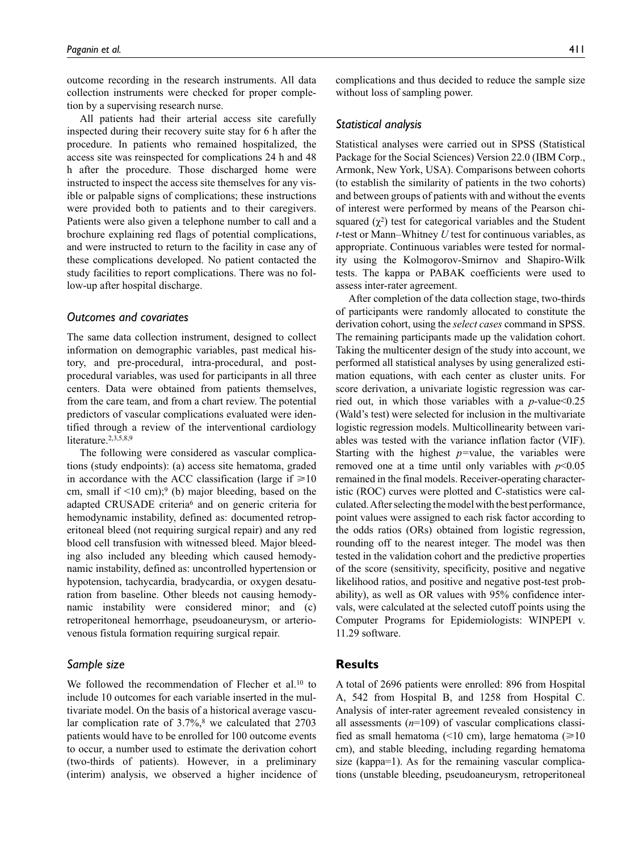outcome recording in the research instruments. All data collection instruments were checked for proper completion by a supervising research nurse.

All patients had their arterial access site carefully inspected during their recovery suite stay for 6 h after the procedure. In patients who remained hospitalized, the access site was reinspected for complications 24 h and 48 h after the procedure. Those discharged home were instructed to inspect the access site themselves for any visible or palpable signs of complications; these instructions were provided both to patients and to their caregivers. Patients were also given a telephone number to call and a brochure explaining red flags of potential complications, and were instructed to return to the facility in case any of these complications developed. No patient contacted the study facilities to report complications. There was no follow-up after hospital discharge.

#### *Outcomes and covariates*

The same data collection instrument, designed to collect information on demographic variables, past medical history, and pre-procedural, intra-procedural, and postprocedural variables, was used for participants in all three centers. Data were obtained from patients themselves, from the care team, and from a chart review. The potential predictors of vascular complications evaluated were identified through a review of the interventional cardiology literature.<sup>2,3,5,8,9</sup>

The following were considered as vascular complications (study endpoints): (a) access site hematoma, graded in accordance with the ACC classification (large if  $\geq 10$ ) cm, small if  $\leq 10$  cm);<sup>9</sup> (b) major bleeding, based on the adapted CRUSADE criteria<sup>6</sup> and on generic criteria for hemodynamic instability, defined as: documented retroperitoneal bleed (not requiring surgical repair) and any red blood cell transfusion with witnessed bleed. Major bleeding also included any bleeding which caused hemodynamic instability, defined as: uncontrolled hypertension or hypotension, tachycardia, bradycardia, or oxygen desaturation from baseline. Other bleeds not causing hemodynamic instability were considered minor; and (c) retroperitoneal hemorrhage, pseudoaneurysm, or arteriovenous fistula formation requiring surgical repair.

## *Sample size*

We followed the recommendation of Flecher et al.<sup>10</sup> to include 10 outcomes for each variable inserted in the multivariate model. On the basis of a historical average vascular complication rate of  $3.7\%$ , we calculated that 2703 patients would have to be enrolled for 100 outcome events to occur, a number used to estimate the derivation cohort (two-thirds of patients). However, in a preliminary (interim) analysis, we observed a higher incidence of complications and thus decided to reduce the sample size without loss of sampling power.

#### *Statistical analysis*

Statistical analyses were carried out in SPSS (Statistical Package for the Social Sciences) Version 22.0 (IBM Corp., Armonk, New York, USA). Comparisons between cohorts (to establish the similarity of patients in the two cohorts) and between groups of patients with and without the events of interest were performed by means of the Pearson chisquared  $(\chi^2)$  test for categorical variables and the Student *t*-test or Mann–Whitney *U* test for continuous variables, as appropriate. Continuous variables were tested for normality using the Kolmogorov-Smirnov and Shapiro-Wilk tests. The kappa or PABAK coefficients were used to assess inter-rater agreement.

After completion of the data collection stage, two-thirds of participants were randomly allocated to constitute the derivation cohort, using the *select cases* command in SPSS. The remaining participants made up the validation cohort. Taking the multicenter design of the study into account, we performed all statistical analyses by using generalized estimation equations, with each center as cluster units. For score derivation, a univariate logistic regression was carried out, in which those variables with a *p*-value<0.25 (Wald's test) were selected for inclusion in the multivariate logistic regression models. Multicollinearity between variables was tested with the variance inflation factor (VIF). Starting with the highest *p=*value, the variables were removed one at a time until only variables with *p*<0.05 remained in the final models. Receiver-operating characteristic (ROC) curves were plotted and C-statistics were calculated. After selecting the model with the best performance, point values were assigned to each risk factor according to the odds ratios (ORs) obtained from logistic regression, rounding off to the nearest integer. The model was then tested in the validation cohort and the predictive properties of the score (sensitivity, specificity, positive and negative likelihood ratios, and positive and negative post-test probability), as well as OR values with 95% confidence intervals, were calculated at the selected cutoff points using the Computer Programs for Epidemiologists: WINPEPI v. 11.29 software.

# **Results**

A total of 2696 patients were enrolled: 896 from Hospital A, 542 from Hospital B, and 1258 from Hospital C. Analysis of inter-rater agreement revealed consistency in all assessments (*n*=109) of vascular complications classified as small hematoma (<10 cm), large hematoma ( $\geq 10$ cm), and stable bleeding, including regarding hematoma size (kappa=1). As for the remaining vascular complications (unstable bleeding, pseudoaneurysm, retroperitoneal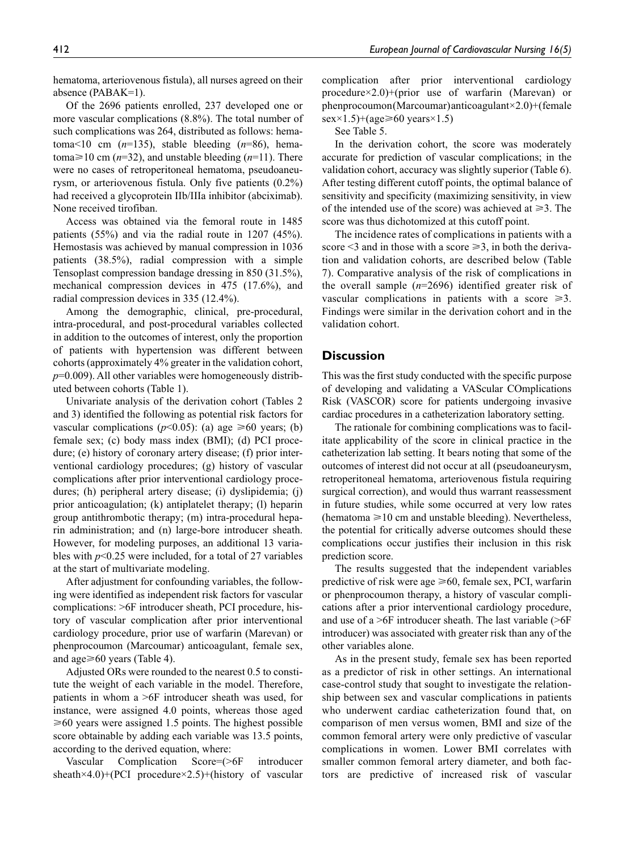hematoma, arteriovenous fistula), all nurses agreed on their absence (PABAK=1).

Of the 2696 patients enrolled, 237 developed one or more vascular complications (8.8%). The total number of such complications was 264, distributed as follows: hematoma<10 cm  $(n=135)$ , stable bleeding  $(n=86)$ , hematoma $\geq 10$  cm ( $n=32$ ), and unstable bleeding ( $n=11$ ). There were no cases of retroperitoneal hematoma, pseudoaneurysm, or arteriovenous fistula. Only five patients (0.2%) had received a glycoprotein IIb/IIIa inhibitor (abciximab). None received tirofiban.

Access was obtained via the femoral route in 1485 patients (55%) and via the radial route in 1207 (45%). Hemostasis was achieved by manual compression in 1036 patients (38.5%), radial compression with a simple Tensoplast compression bandage dressing in 850 (31.5%), mechanical compression devices in 475 (17.6%), and radial compression devices in 335 (12.4%).

Among the demographic, clinical, pre-procedural, intra-procedural, and post-procedural variables collected in addition to the outcomes of interest, only the proportion of patients with hypertension was different between cohorts (approximately 4% greater in the validation cohort, *p*=0.009). All other variables were homogeneously distributed between cohorts (Table 1).

Univariate analysis of the derivation cohort (Tables 2 and 3) identified the following as potential risk factors for vascular complications ( $p$ <0.05): (a) age  $\geq 60$  years; (b) female sex; (c) body mass index (BMI); (d) PCI procedure; (e) history of coronary artery disease; (f) prior interventional cardiology procedures; (g) history of vascular complications after prior interventional cardiology procedures; (h) peripheral artery disease; (i) dyslipidemia; (j) prior anticoagulation; (k) antiplatelet therapy; (l) heparin group antithrombotic therapy; (m) intra-procedural heparin administration; and (n) large-bore introducer sheath. However, for modeling purposes, an additional 13 variables with  $p<0.25$  were included, for a total of 27 variables at the start of multivariate modeling.

After adjustment for confounding variables, the following were identified as independent risk factors for vascular complications: >6F introducer sheath, PCI procedure, history of vascular complication after prior interventional cardiology procedure, prior use of warfarin (Marevan) or phenprocoumon (Marcoumar) anticoagulant, female sex, and age $\geq 60$  years (Table 4).

Adjusted ORs were rounded to the nearest 0.5 to constitute the weight of each variable in the model. Therefore, patients in whom a >6F introducer sheath was used, for instance, were assigned 4.0 points, whereas those aged  $\geq 60$  years were assigned 1.5 points. The highest possible score obtainable by adding each variable was 13.5 points, according to the derived equation, where:

Vascular Complication Score=(>6F introducer sheath×4.0)+(PCI procedure×2.5)+(history of vascular complication after prior interventional cardiology procedure×2.0)+(prior use of warfarin (Marevan) or phenprocoumon (Marcoumar) anticoagulant×2.0)+(female  $sex\times1.5+(age \geq 60 years\times1.5)$ 

See Table 5.

In the derivation cohort, the score was moderately accurate for prediction of vascular complications; in the validation cohort, accuracy was slightly superior (Table 6). After testing different cutoff points, the optimal balance of sensitivity and specificity (maximizing sensitivity, in view of the intended use of the score) was achieved at  $\geq 3$ . The score was thus dichotomized at this cutoff point.

The incidence rates of complications in patients with a score  $\leq$ 3 and in those with a score  $\geq$ 3, in both the derivation and validation cohorts, are described below (Table 7). Comparative analysis of the risk of complications in the overall sample (*n*=2696) identified greater risk of vascular complications in patients with a score  $\geq 3$ . Findings were similar in the derivation cohort and in the validation cohort.

### **Discussion**

This was the first study conducted with the specific purpose of developing and validating a VAScular COmplications Risk (VASCOR) score for patients undergoing invasive cardiac procedures in a catheterization laboratory setting.

The rationale for combining complications was to facilitate applicability of the score in clinical practice in the catheterization lab setting. It bears noting that some of the outcomes of interest did not occur at all (pseudoaneurysm, retroperitoneal hematoma, arteriovenous fistula requiring surgical correction), and would thus warrant reassessment in future studies, while some occurred at very low rates (hematoma  $\geq 10$  cm and unstable bleeding). Nevertheless, the potential for critically adverse outcomes should these complications occur justifies their inclusion in this risk prediction score.

The results suggested that the independent variables predictive of risk were age  $\geq 60$ , female sex, PCI, warfarin or phenprocoumon therapy, a history of vascular complications after a prior interventional cardiology procedure, and use of a >6F introducer sheath. The last variable (>6F introducer) was associated with greater risk than any of the other variables alone.

As in the present study, female sex has been reported as a predictor of risk in other settings. An international case-control study that sought to investigate the relationship between sex and vascular complications in patients who underwent cardiac catheterization found that, on comparison of men versus women, BMI and size of the common femoral artery were only predictive of vascular complications in women. Lower BMI correlates with smaller common femoral artery diameter, and both factors are predictive of increased risk of vascular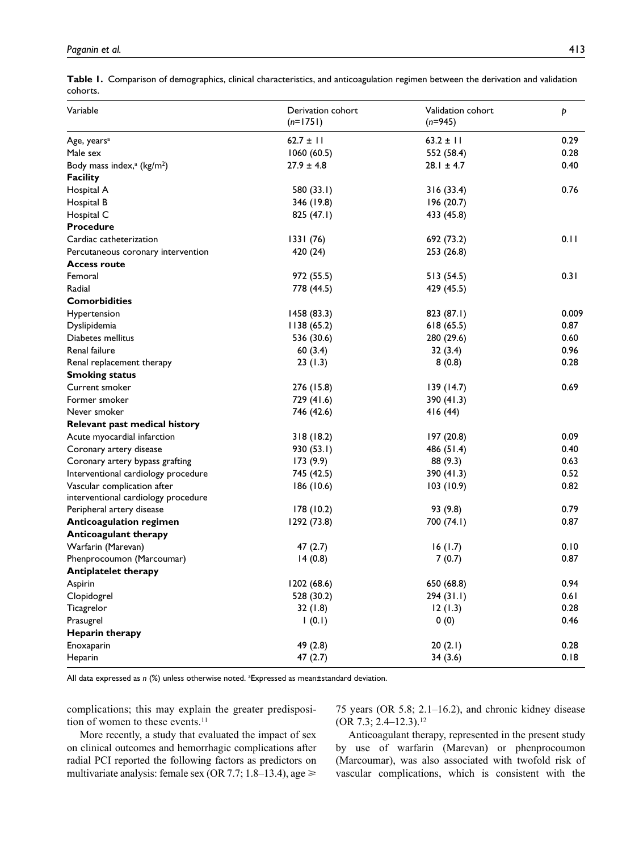| Variable                                           | Derivation cohort<br>$(n=1751)$ | Validation cohort<br>$(n=945)$ | Þ     |
|----------------------------------------------------|---------------------------------|--------------------------------|-------|
| Age, years <sup>a</sup>                            | $62.7 \pm 11$                   | $63.2 \pm 11$                  | 0.29  |
| Male sex                                           | 1060(60.5)                      | 552 (58.4)                     | 0.28  |
| Body mass index, <sup>a</sup> (kg/m <sup>2</sup> ) | $27.9 \pm 4.8$                  | $28.1 \pm 4.7$                 | 0.40  |
| <b>Facility</b>                                    |                                 |                                |       |
| Hospital A                                         | 580 (33.1)                      | 316 (33.4)                     | 0.76  |
| Hospital B                                         | 346 (19.8)                      | 196 (20.7)                     |       |
| Hospital C                                         | 825 (47.1)                      | 433 (45.8)                     |       |
| <b>Procedure</b>                                   |                                 |                                |       |
| Cardiac catheterization                            | 1331(76)                        | 692 (73.2)                     | 0.11  |
| Percutaneous coronary intervention                 | 420 (24)                        | 253 (26.8)                     |       |
| <b>Access route</b>                                |                                 |                                |       |
| Femoral                                            | 972 (55.5)                      | 513(54.5)                      | 0.31  |
| Radial                                             | 778 (44.5)                      | 429 (45.5)                     |       |
| <b>Comorbidities</b>                               |                                 |                                |       |
| Hypertension                                       | 1458 (83.3)                     | 823 (87.1)                     | 0.009 |
| Dyslipidemia                                       | 1138(65.2)                      | 618 (65.5)                     | 0.87  |
| Diabetes mellitus                                  | 536 (30.6)                      | 280 (29.6)                     | 0.60  |
| Renal failure                                      | 60(3.4)                         | 32(3.4)                        | 0.96  |
| Renal replacement therapy                          | 23(1.3)                         | 8(0.8)                         | 0.28  |
| <b>Smoking status</b>                              |                                 |                                |       |
| Current smoker                                     | 276 (15.8)                      | 139 (14.7)                     | 0.69  |
| Former smoker                                      | 729 (41.6)                      | 390 (41.3)                     |       |
|                                                    |                                 |                                |       |
| Never smoker                                       | 746 (42.6)                      | 416(44)                        |       |
| Relevant past medical history                      |                                 |                                |       |
| Acute myocardial infarction                        | 318(18.2)                       | 197 (20.8)                     | 0.09  |
| Coronary artery disease                            | 930 (53.1)                      | 486 (51.4)                     | 0.40  |
| Coronary artery bypass grafting                    | 173(9.9)                        | 88 (9.3)                       | 0.63  |
| Interventional cardiology procedure                | 745 (42.5)                      | 390 (41.3)                     | 0.52  |
| Vascular complication after                        | 186(10.6)                       | 103(10.9)                      | 0.82  |
| interventional cardiology procedure                |                                 |                                |       |
| Peripheral artery disease                          | 178(10.2)                       | 93 (9.8)                       | 0.79  |
| <b>Anticoagulation regimen</b>                     | 1292 (73.8)                     | 700 (74.1)                     | 0.87  |
| Anticoagulant therapy                              |                                 |                                |       |
| Warfarin (Marevan)                                 | 47(2.7)                         | 16(1.7)                        | 0.10  |
| Phenprocoumon (Marcoumar)                          | 14(0.8)                         | 7(0.7)                         | 0.87  |
| <b>Antiplatelet therapy</b>                        |                                 |                                |       |
| Aspirin                                            | 1202 (68.6)                     | 650 (68.8)                     | 0.94  |
| Clopidogrel                                        | 528 (30.2)                      | 294 (31.1)                     | 0.61  |
| Ticagrelor                                         | 32(1.8)                         | 12(1.3)                        | 0.28  |
| Prasugrel                                          | 1(0.1)                          | 0(0)                           | 0.46  |
| <b>Heparin therapy</b>                             |                                 |                                |       |
| Enoxaparin                                         | 49 (2.8)                        | 20(2.1)                        | 0.28  |
| Heparin                                            | 47(2.7)                         | 34 (3.6)                       | 0.18  |

**Table 1.** Comparison of demographics, clinical characteristics, and anticoagulation regimen between the derivation and validation cohorts.

All data expressed as *n* (%) unless otherwise noted. a Expressed as mean±standard deviation.

complications; this may explain the greater predisposition of women to these events.<sup>11</sup>

75 years (OR 5.8; 2.1–16.2), and chronic kidney disease (OR 7.3; 2.4–12.3).12

More recently, a study that evaluated the impact of sex on clinical outcomes and hemorrhagic complications after radial PCI reported the following factors as predictors on multivariate analysis: female sex (OR 7.7; 1.8–13.4), age  $\geq$ 

Anticoagulant therapy, represented in the present study by use of warfarin (Marevan) or phenprocoumon (Marcoumar), was also associated with twofold risk of vascular complications, which is consistent with the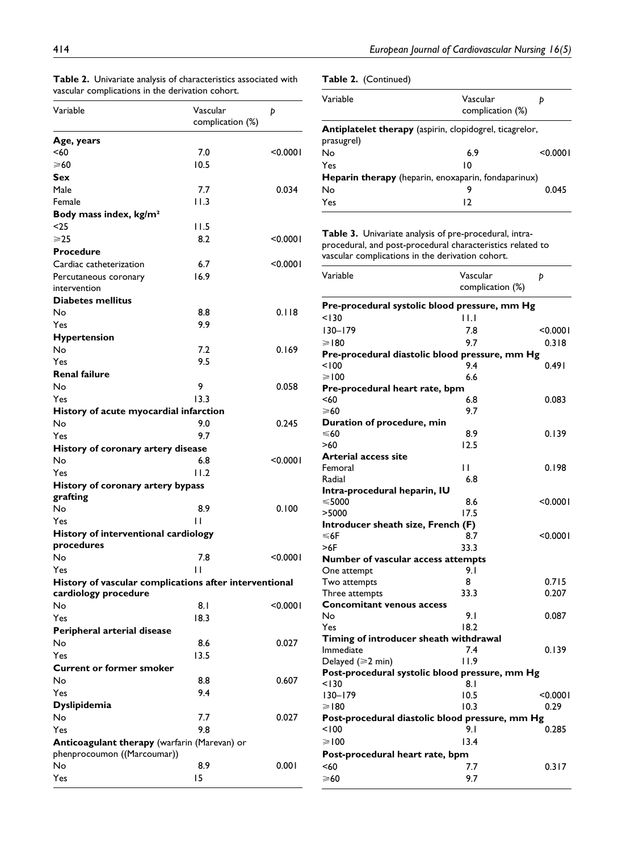| Variable                                                                       | Vascular<br>complication (%) | Þ         |
|--------------------------------------------------------------------------------|------------------------------|-----------|
| Age, years                                                                     |                              |           |
| $60$                                                                           | 7.0                          | $<$ 0.000 |
| ≥60                                                                            | 10.5                         |           |
| Sex                                                                            |                              |           |
| Male                                                                           | 7.7                          | 0.034     |
| Female                                                                         | 11.3                         |           |
| Body mass index, kg/m <sup>2</sup>                                             |                              |           |
| $25$                                                                           | I I.5                        |           |
| $\geqslant$ 25                                                                 | 8.2                          | <0.000∣   |
| <b>Procedure</b>                                                               |                              |           |
| Cardiac catheterization                                                        | 6.7                          | <0.000∣   |
| Percutaneous coronary<br>intervention                                          | 16.9                         |           |
| <b>Diabetes mellitus</b>                                                       |                              |           |
| No                                                                             | 8.8                          | 0.118     |
| Yes                                                                            | 9.9                          |           |
| Hypertension<br>No                                                             |                              |           |
| Yes                                                                            | 7.2<br>9.5                   | 0.169     |
| <b>Renal failure</b>                                                           |                              |           |
| N٥                                                                             | 9                            | 0.058     |
| Yes                                                                            | 13.3                         |           |
| History of acute myocardial infarction                                         |                              |           |
| No                                                                             | 9.0                          | 0.245     |
| Yes                                                                            | 9.7                          |           |
| History of coronary artery disease                                             |                              |           |
| No                                                                             | 6.8                          | < 0.0001  |
| Yes                                                                            | 11.2                         |           |
| History of coronary artery bypass<br>grafting                                  |                              |           |
| No                                                                             | 8.9                          | 0.100     |
| Yes                                                                            | Н                            |           |
| History of interventional cardiology                                           |                              |           |
| procedures                                                                     |                              |           |
| No                                                                             | 7.8                          | <0.000∣   |
| Yes                                                                            | П                            |           |
| History of vascular complications after interventional<br>cardiology procedure |                              |           |
| No                                                                             | 8. I                         | <0.000∣   |
| Yes                                                                            | 18.3                         |           |
| Peripheral arterial disease                                                    |                              |           |
| No                                                                             | 8.6                          | 0.027     |
| Yes                                                                            | 13.5                         |           |
| <b>Current or former smoker</b>                                                |                              |           |
| No                                                                             | 8.8                          | 0.607     |
| Yes                                                                            | 9.4                          |           |
| <b>Dyslipidemia</b>                                                            |                              |           |
| No                                                                             | 7.7                          | 0.027     |
| Yes                                                                            | 9.8                          |           |
| Anticoagulant therapy (warfarin (Marevan) or<br>phenprocoumon ((Marcoumar))    |                              |           |
| No                                                                             | 8.9                          | 0.001     |
| Yes                                                                            | 15                           |           |

|  | Table 2. Univariate analysis of characteristics associated with |  |
|--|-----------------------------------------------------------------|--|
|  | vascular complications in the derivation cohort.                |  |

**Table 2.** (Continued)

| Variable                                                                     | Vascular<br>complication (%) |          |
|------------------------------------------------------------------------------|------------------------------|----------|
| <b>Antiplatelet therapy</b> (aspirin, clopidogrel, ticagrelor,<br>prasugrel) |                              |          |
| No                                                                           | 6.9                          | < 0.0001 |
| Yes                                                                          | 10                           |          |
| Heparin therapy (heparin, enoxaparin, fondaparinux)                          |                              |          |
| No                                                                           | 9                            | 0.045    |
| Yes                                                                          | 12                           |          |

**Table 3.** Univariate analysis of pre-procedural, intraprocedural, and post-procedural characteristics related to vascular complications in the derivation cohort.

| Variable                                                 | Vascular<br>complication (%) | Þ        |
|----------------------------------------------------------|------------------------------|----------|
| Pre-procedural systolic blood pressure, mm Hg            |                              |          |
| 130                                                      | ПJ                           |          |
| $130 - 179$                                              | 7.8                          | < 0.0001 |
| ≥180                                                     | 9.7                          | 0.318    |
| Pre-procedural diastolic blood pressure, mm Hg           |                              |          |
| 100                                                      | 9.4                          | 0.491    |
| $\geq 100$                                               | 6.6                          |          |
| Pre-procedural heart rate, bpm                           |                              |          |
| < 60                                                     | 6.8                          | 0.083    |
| ≥60                                                      | 9.7                          |          |
| Duration of procedure, min                               |                              |          |
| ≤60                                                      | 8.9                          | 0.139    |
| >60                                                      | 12.5                         |          |
| <b>Arterial access site</b>                              |                              |          |
| Femoral                                                  | п                            | 0.198    |
| Radial                                                   | 6.8                          |          |
| Intra-procedural heparin, IU                             |                              |          |
| ≤5000                                                    | 8.6                          | < 0.0001 |
| >5000                                                    | 17.5                         |          |
| Introducer sheath size, French (F)                       |                              |          |
| $≤$ 6F                                                   | 8.7                          | < 0.0001 |
| >6F                                                      | 33.3                         |          |
| Number of vascular access attempts                       |                              |          |
| One attempt                                              | 9. I                         |          |
| Two attempts                                             | 8                            | 0.715    |
| Three attempts                                           | 33.3                         | 0.207    |
| <b>Concomitant venous access</b>                         |                              |          |
| No                                                       | 9. I                         | 0.087    |
| Yes                                                      | 18.2                         |          |
| Timing of introducer sheath withdrawal                   |                              |          |
| Immediate                                                | 7.4                          | 0.139    |
| Delayed ( $\geq 2$ min)                                  | 11.9                         |          |
| Post-procedural systolic blood pressure, mm Hg<br>130    |                              |          |
| $130 - 179$                                              | 8. I<br>10.5                 | <0.000∣  |
| $\geq$ 180                                               | 10.3                         | 0.29     |
|                                                          |                              |          |
| Post-procedural diastolic blood pressure, mm Hg<br>< 100 | 9. I                         | 0.285    |
| $\geq$ 100                                               | 13.4                         |          |
|                                                          |                              |          |
| Post-procedural heart rate, bpm                          |                              |          |
| < 60                                                     | 7.7                          | 0.317    |
| $\geqslant$ 60                                           | 9.7                          |          |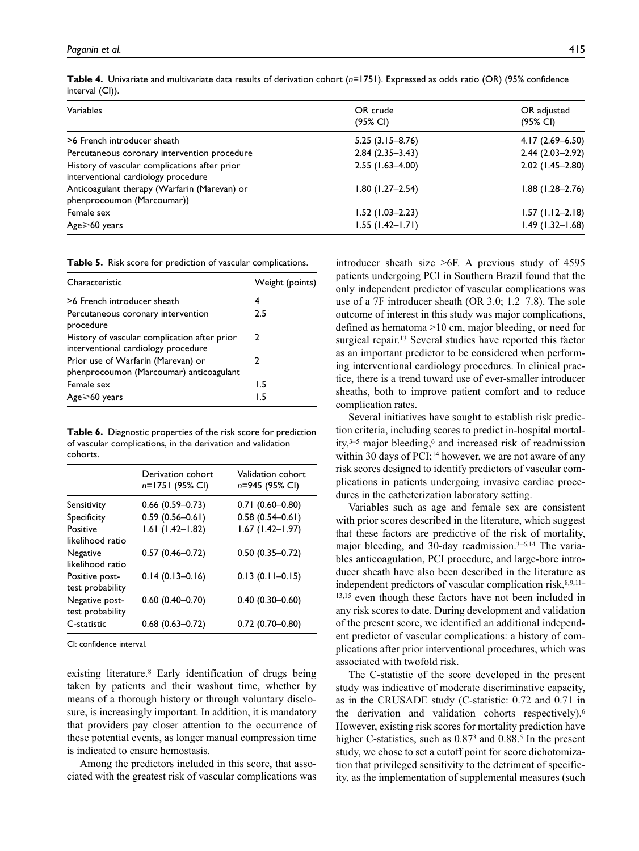| Variables                                                                            | OR crude<br>(95% CI) | OR adjusted<br>$(95\% \text{ Cl})$ |
|--------------------------------------------------------------------------------------|----------------------|------------------------------------|
| >6 French introducer sheath                                                          | $5.25(3.15 - 8.76)$  | $4.17(2.69 - 6.50)$                |
| Percutaneous coronary intervention procedure                                         | $2.84(2.35-3.43)$    | $2.44(2.03-2.92)$                  |
| History of vascular complications after prior<br>interventional cardiology procedure | $2.55$ (1.63-4.00)   | 2.02 (1.45-2.80)                   |
| Anticoagulant therapy (Warfarin (Marevan) or<br>phenprocoumon (Marcoumar))           | $1.80(1.27 - 2.54)$  | $1.88$ (1.28-2.76)                 |
| Female sex                                                                           | $1.52(1.03 - 2.23)$  | $1.57$ (1.12-2.18)                 |
| Age $\geq 60$ years                                                                  | $1.55$ (1.42–1.71)   | $1.49(1.32 - 1.68)$                |

**Table 4.** Univariate and multivariate data results of derivation cohort (*n*=1751). Expressed as odds ratio (OR) (95% confidence interval (CI)).

**Table 5.** Risk score for prediction of vascular complications.

| Characteristic                                                                      | Weight (points) |
|-------------------------------------------------------------------------------------|-----------------|
| >6 French introducer sheath                                                         |                 |
| Percutaneous coronary intervention<br>procedure                                     | 2.5             |
| History of vascular complication after prior<br>interventional cardiology procedure | 2               |
| Prior use of Warfarin (Marevan) or<br>phenprocoumon (Marcoumar) anticoagulant       | 2               |
| Female sex                                                                          | I 5             |
| Age $\geq 60$ years                                                                 | I 5             |

**Table 6.** Diagnostic properties of the risk score for prediction of vascular complications, in the derivation and validation cohorts.

|                                    | Derivation cohort<br>n=1751 (95% CI) | Validation cohort<br>n=945 (95% CI) |
|------------------------------------|--------------------------------------|-------------------------------------|
| Sensitivity                        | $0.66(0.59 - 0.73)$                  | $0.71(0.60 - 0.80)$                 |
| Specificity                        | $0.59(0.56 - 0.61)$                  | $0.58(0.54 - 0.61)$                 |
| Positive<br>likelihood ratio       | $1.61$ (1.42–1.82)                   | $1.67$ (1.42-1.97)                  |
| Negative<br>likelihood ratio       | $0.57(0.46 - 0.72)$                  | $0.50(0.35 - 0.72)$                 |
| Positive post-<br>test probability | $0.14(0.13 - 0.16)$                  | $0.13(0.11 - 0.15)$                 |
| Negative post-<br>test probability | $0.60(0.40 - 0.70)$                  | $0.40(0.30 - 0.60)$                 |
| C-statistic                        | $0.68(0.63 - 0.72)$                  | $0.72(0.70-0.80)$                   |

CI: confidence interval.

existing literature.8 Early identification of drugs being taken by patients and their washout time, whether by means of a thorough history or through voluntary disclosure, is increasingly important. In addition, it is mandatory that providers pay closer attention to the occurrence of these potential events, as longer manual compression time is indicated to ensure hemostasis.

Among the predictors included in this score, that associated with the greatest risk of vascular complications was

introducer sheath size >6F. A previous study of 4595 patients undergoing PCI in Southern Brazil found that the only independent predictor of vascular complications was use of a 7F introducer sheath (OR 3.0; 1.2–7.8). The sole outcome of interest in this study was major complications, defined as hematoma >10 cm, major bleeding, or need for surgical repair.<sup>13</sup> Several studies have reported this factor as an important predictor to be considered when performing interventional cardiology procedures. In clinical practice, there is a trend toward use of ever-smaller introducer sheaths, both to improve patient comfort and to reduce complication rates.

Several initiatives have sought to establish risk prediction criteria, including scores to predict in-hospital mortality,<sup>3–5</sup> major bleeding,<sup>6</sup> and increased risk of readmission within 30 days of  $PCI$ ;<sup>14</sup> however, we are not aware of any risk scores designed to identify predictors of vascular complications in patients undergoing invasive cardiac procedures in the catheterization laboratory setting.

Variables such as age and female sex are consistent with prior scores described in the literature, which suggest that these factors are predictive of the risk of mortality, major bleeding, and 30-day readmission.<sup>3-6,14</sup> The variables anticoagulation, PCI procedure, and large-bore introducer sheath have also been described in the literature as independent predictors of vascular complication risk, $8,9,11-$ 13,15 even though these factors have not been included in any risk scores to date. During development and validation of the present score, we identified an additional independent predictor of vascular complications: a history of complications after prior interventional procedures, which was associated with twofold risk.

The C-statistic of the score developed in the present study was indicative of moderate discriminative capacity, as in the CRUSADE study (C-statistic: 0.72 and 0.71 in the derivation and validation cohorts respectively).<sup>6</sup> However, existing risk scores for mortality prediction have higher C-statistics, such as  $0.87<sup>3</sup>$  and  $0.88<sup>5</sup>$  In the present study, we chose to set a cutoff point for score dichotomization that privileged sensitivity to the detriment of specificity, as the implementation of supplemental measures (such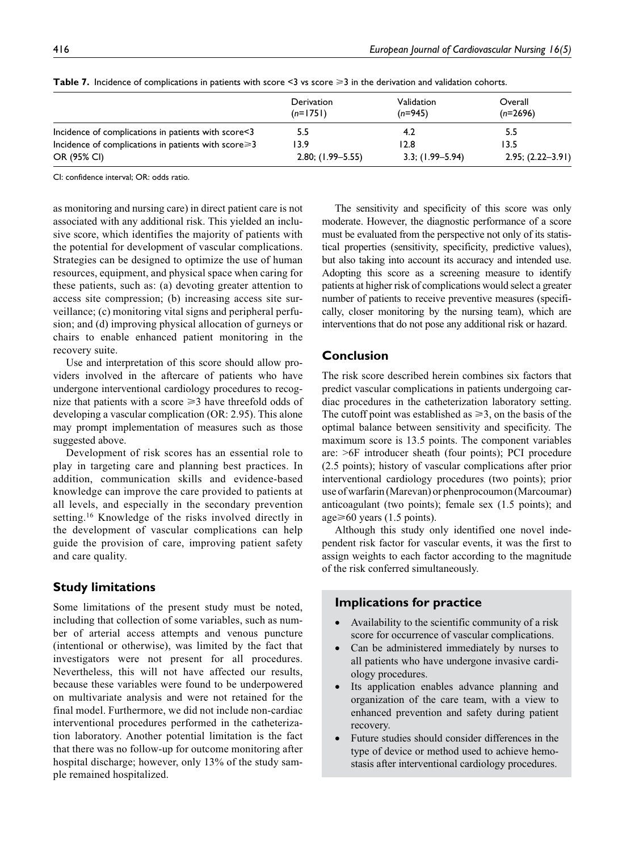|                                                            | Derivation<br>$(n=1751)$ | Validation<br>$(n=945)$ | Overall<br>$(n=2696)$ |
|------------------------------------------------------------|--------------------------|-------------------------|-----------------------|
| Incidence of complications in patients with score<3        | 5.5                      | 4.2                     | 5.5                   |
| Incidence of complications in patients with score $\geq 3$ | 13.9                     | 12.8                    | 13.5                  |
| OR (95% CI)                                                | $2.80; (1.99 - 5.55)$    | $3.3$ ; (1.99–5.94)     | $2.95; (2.22 - 3.91)$ |

CI: confidence interval; OR: odds ratio.

as monitoring and nursing care) in direct patient care is not associated with any additional risk. This yielded an inclusive score, which identifies the majority of patients with the potential for development of vascular complications. Strategies can be designed to optimize the use of human resources, equipment, and physical space when caring for these patients, such as: (a) devoting greater attention to access site compression; (b) increasing access site surveillance; (c) monitoring vital signs and peripheral perfusion; and (d) improving physical allocation of gurneys or chairs to enable enhanced patient monitoring in the recovery suite.

Use and interpretation of this score should allow providers involved in the aftercare of patients who have undergone interventional cardiology procedures to recognize that patients with a score  $\geq 3$  have threefold odds of developing a vascular complication (OR: 2.95). This alone may prompt implementation of measures such as those suggested above.

Development of risk scores has an essential role to play in targeting care and planning best practices. In addition, communication skills and evidence-based knowledge can improve the care provided to patients at all levels, and especially in the secondary prevention setting.16 Knowledge of the risks involved directly in the development of vascular complications can help guide the provision of care, improving patient safety and care quality.

# **Study limitations**

Some limitations of the present study must be noted, including that collection of some variables, such as number of arterial access attempts and venous puncture (intentional or otherwise), was limited by the fact that investigators were not present for all procedures. Nevertheless, this will not have affected our results, because these variables were found to be underpowered on multivariate analysis and were not retained for the final model. Furthermore, we did not include non-cardiac interventional procedures performed in the catheterization laboratory. Another potential limitation is the fact that there was no follow-up for outcome monitoring after hospital discharge; however, only 13% of the study sample remained hospitalized.

The sensitivity and specificity of this score was only moderate. However, the diagnostic performance of a score must be evaluated from the perspective not only of its statistical properties (sensitivity, specificity, predictive values), but also taking into account its accuracy and intended use. Adopting this score as a screening measure to identify patients at higher risk of complications would select a greater number of patients to receive preventive measures (specifically, closer monitoring by the nursing team), which are interventions that do not pose any additional risk or hazard.

# **Conclusion**

The risk score described herein combines six factors that predict vascular complications in patients undergoing cardiac procedures in the catheterization laboratory setting. The cutoff point was established as  $\geq 3$ , on the basis of the optimal balance between sensitivity and specificity. The maximum score is 13.5 points. The component variables are: >6F introducer sheath (four points); PCI procedure (2.5 points); history of vascular complications after prior interventional cardiology procedures (two points); prior use of warfarin (Marevan) or phenprocoumon (Marcoumar) anticoagulant (two points); female sex (1.5 points); and age $\geq 60$  years (1.5 points).

Although this study only identified one novel independent risk factor for vascular events, it was the first to assign weights to each factor according to the magnitude of the risk conferred simultaneously.

## **Implications for practice**

- Availability to the scientific community of a risk score for occurrence of vascular complications.
- Can be administered immediately by nurses to all patients who have undergone invasive cardiology procedures.
- Its application enables advance planning and organization of the care team, with a view to enhanced prevention and safety during patient recovery.
- Future studies should consider differences in the type of device or method used to achieve hemostasis after interventional cardiology procedures.